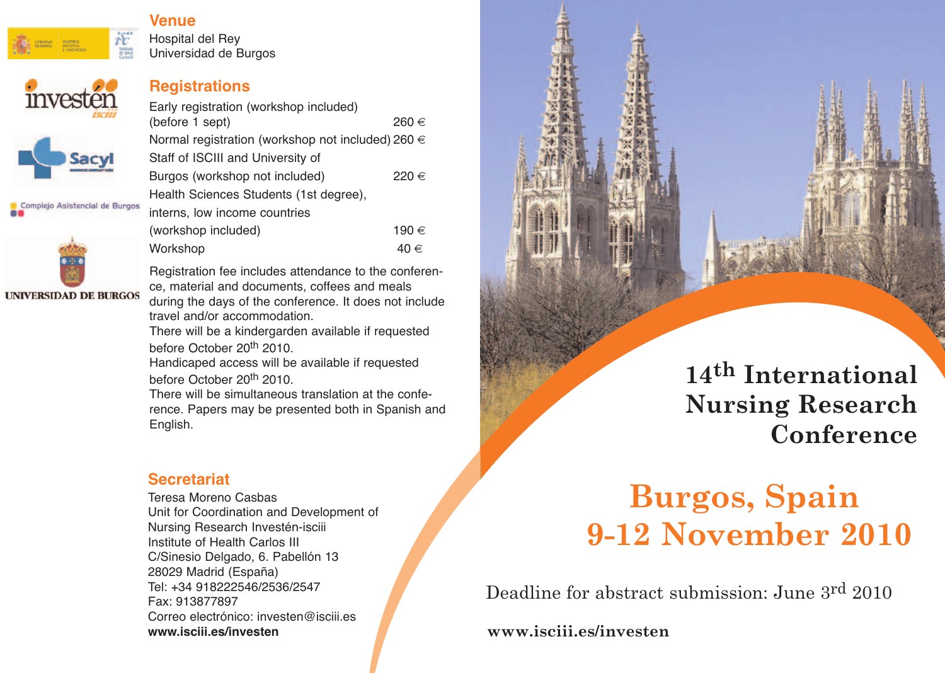

invester

# **Venue**

Hospital del Rey Universidad de Burgos

### **Registrations**

| Early registration (workshop included)<br>(before 1 sept) | 260 € |
|-----------------------------------------------------------|-------|
| Normal registration (workshop not included) 260 $\in$     |       |
| Staff of ISCIII and University of                         |       |
| Burgos (workshop not included)                            | 220 € |
| Health Sciences Students (1st degree),                    |       |
| interns, low income countries                             |       |
| (workshop included)                                       | 190 € |
| Workshop                                                  |       |

Complejo Asistencial de Burgos



**UNIVERSIDAD DE BURGOS** 

Registration fee includes attendance to the conference, material and documents, coffees and meals during the days of the conference. It does not include travel and/or accommodation.

There will be a kindergarden available if requested before October 20<sup>th</sup> 2010.

Handicaped access will be available if requested before October 20th 2010.

There will be simultaneous translation at the conference. Papers may be presented both in Spanish and English.

## **Secretariat**

Teresa Moreno Casbas Unit for Coordination and Development of Nursing Research Investén-isciii Institute of Health Carlos III C/Sinesio Delgado, 6. Pabellón 13 28029 Madrid (España) Tel: +34 918222546/2536/2547 Fax: 913877897 Correo electrónico: investen@isciii.es **www.isciii.es/investen**

# **14th International Nursing Research Conference**

# **Burgos, Spain 9-12 November 2010**

Deadline for abstract submission: June 3rd 2010

**www.isciii.es/investen**